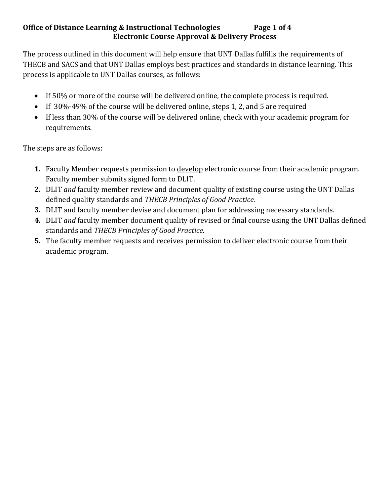## **Office of Distance Learning & Instructional Technologies** Page 1 of 4 **Electronic Course Approval & Delivery Process**

The process outlined in this document will help ensure that UNT Dallas fulfills the requirements of THECB and SACS and that UNT Dallas employs best practices and standards in distance learning. This process is applicable to UNT Dallas courses, as follows:

- If 50% or more of the course will be delivered online, the complete process is required.
- If 30%-49% of the course will be delivered online, steps 1, 2, and 5 are required
- If less than 30% of the course will be delivered online, check with your academic program for requirements.

The steps are as follows:

- **1.** Faculty Member requests permission to develop electronic course from their academic program. Faculty member submits signed form to DLIT.
- **2.** DLIT *and* faculty member review and document quality of existing course using the UNT Dallas defined quality standards and *THECB Principles of Good Practice.*
- **3.** DLIT and faculty member devise and document plan for addressing necessary standards.
- **4.** DLIT *and* faculty member document quality of revised or final course using the UNT Dallas defined standards and *THECB Principles of Good Practice.*
- **5.** The faculty member requests and receives permission to deliver electronic course from their academic program.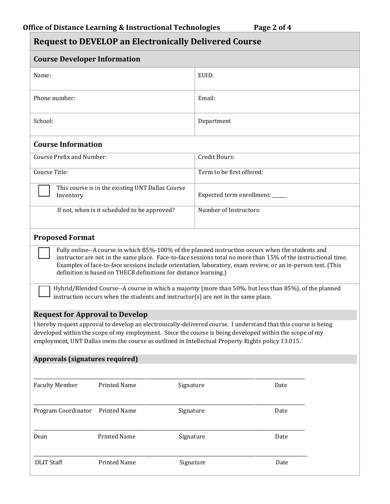| <b>Request to DEVELOP an Electronically Delivered Course</b>                                                                                                                                                                                                                                                                                                                                         |                                |  |
|------------------------------------------------------------------------------------------------------------------------------------------------------------------------------------------------------------------------------------------------------------------------------------------------------------------------------------------------------------------------------------------------------|--------------------------------|--|
| <b>Course Developer Information</b>                                                                                                                                                                                                                                                                                                                                                                  |                                |  |
| Name:                                                                                                                                                                                                                                                                                                                                                                                                | EUID:                          |  |
| Phone number:                                                                                                                                                                                                                                                                                                                                                                                        | Email:                         |  |
| School:                                                                                                                                                                                                                                                                                                                                                                                              | Department                     |  |
| <b>Course Information</b>                                                                                                                                                                                                                                                                                                                                                                            |                                |  |
| Course Prefix and Number:                                                                                                                                                                                                                                                                                                                                                                            | Credit Hours:                  |  |
| Course Title:                                                                                                                                                                                                                                                                                                                                                                                        | Term to be first offered:      |  |
| This course is in the existing UNT Dallas Course<br>Inventory                                                                                                                                                                                                                                                                                                                                        | Expected term enrollment: ____ |  |
| If not, when is it scheduled to be approved?                                                                                                                                                                                                                                                                                                                                                         | Number of Instructors:         |  |
| <b>Proposed Format</b>                                                                                                                                                                                                                                                                                                                                                                               |                                |  |
| Fully online--A course in which 85%-100% of the planned instruction occurs when the students and<br>instructor are not in the same place. Face-to-face sessions total no more than 15% of the instructional time.<br>Examples of face-to-face sessions include orientation, laboratory, exam review, or an in-person test. (This<br>definition is based on THECB definitions for distance learning.) |                                |  |
| Hybrid/Blended Course--A course in which a majority (more than 50%, but less than 85%), of the planned<br>instruction occurs when the students and instructor(s) are not in the same place.                                                                                                                                                                                                          |                                |  |
| <b>Request for Approval to Develop</b><br>I hereby request approval to develop an electronically-delivered course. I understand that this course is being<br>developed within the scope of my employment. Since the course is being developed within the scope of my<br>employment, UNT Dallas owns the course as outlined in Intellectual Property Rights policy 13.015.                            |                                |  |
| <b>Approvals (signatures required)</b>                                                                                                                                                                                                                                                                                                                                                               |                                |  |
| <b>Faculty Member</b><br><b>Printed Name</b>                                                                                                                                                                                                                                                                                                                                                         | Signature<br>Date              |  |
| Program Coordinator<br><b>Printed Name</b>                                                                                                                                                                                                                                                                                                                                                           | Signature<br>Date              |  |
| <b>Printed Name</b><br>Dean                                                                                                                                                                                                                                                                                                                                                                          | Signature<br>Date              |  |
| <b>DLIT Staff</b><br><b>Printed Name</b>                                                                                                                                                                                                                                                                                                                                                             | Signature<br>Date              |  |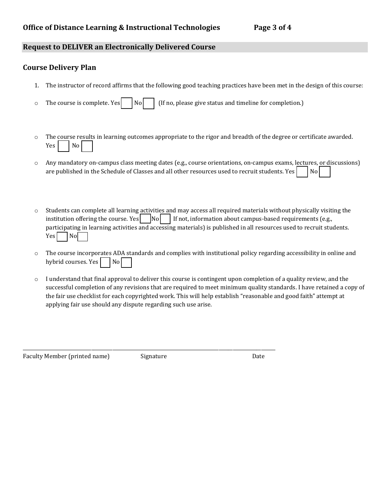## **Request to DELIVER an Electronically Delivered Course**

## **Course Delivery Plan**

- 1. The instructor of record affirms that the following good teaching practices have been met in the design of this course:
- $\circ$  The course is complete. Yes  $\vert$  No  $\vert$  (If no, please give status and timeline for completion.)
- o The course results in learning outcomes appropriate to the rigor and breadth of the degree or certificate awarded.  $Yes \mid$  No
- o Any mandatory on-campus class meeting dates (e.g., course orientations, on-campus exams, lectures, or discussions) are published in the Schedule of Classes and all other resources used to recruit students. Yes  $\bigcup_{n=1}^{\infty} N$
- o Students can complete all learning activities and may access all required materials without physically visiting the institution offering the course. Yes  $\vert$  No  $\vert$  If not, information about campus-based requirements (e.g., participating in learning activities and accessing materials) is published in all resources used to recruit students.  $Yes$   $|No|$
- $\circ$  The course incorporates ADA standards and complies with institutional policy regarding accessibility in online and hybrid courses. Yes  $\vert$  No
- $\circ$  I understand that final approval to deliver this course is contingent upon completion of a quality review, and the successful completion of any revisions that are required to meet minimum quality standards. I have retained a copy of the fair use checklist for each copyrighted work. This will help establish "reasonable and good faith" attempt at applying fair use should any dispute regarding such use arise.

Faculty Member (printed name) Signature Contract Contract Date of Date Date

\_\_\_\_\_\_\_\_\_\_\_\_\_\_\_\_\_\_\_\_\_\_\_\_\_\_\_\_\_\_\_\_\_\_\_\_\_\_\_\_\_\_\_\_\_\_\_\_\_\_\_\_\_\_\_\_\_\_\_\_\_\_\_\_\_\_\_\_\_\_\_\_\_\_\_\_\_\_\_\_\_\_\_\_\_\_\_\_\_\_\_\_\_\_\_\_\_\_\_\_\_\_\_\_\_\_\_